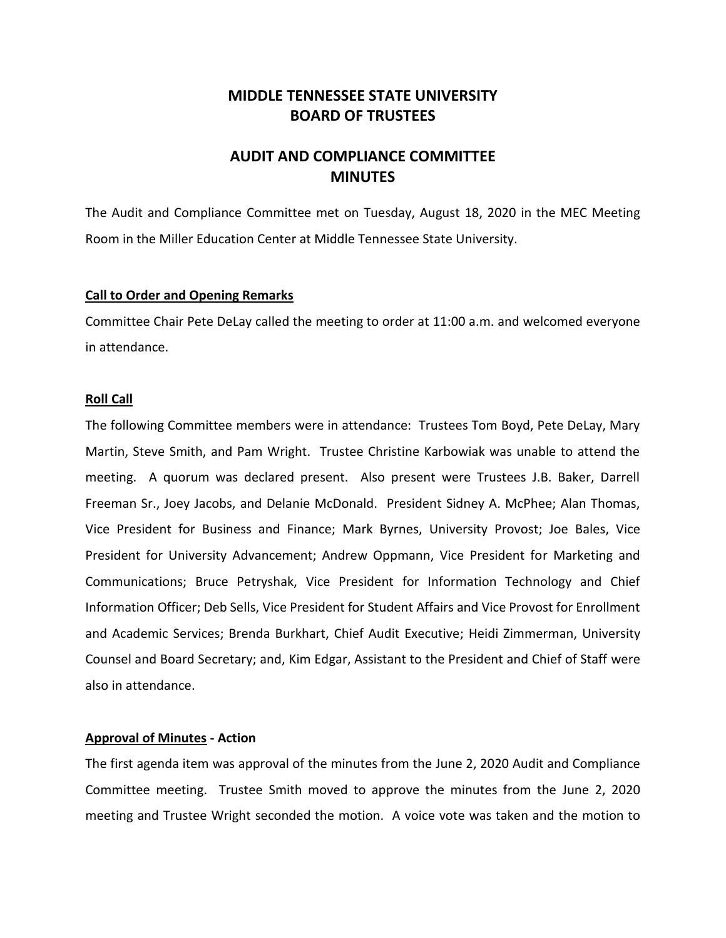# **MIDDLE TENNESSEE STATE UNIVERSITY BOARD OF TRUSTEES**

# **AUDIT AND COMPLIANCE COMMITTEE MINUTES**

The Audit and Compliance Committee met on Tuesday, August 18, 2020 in the MEC Meeting Room in the Miller Education Center at Middle Tennessee State University.

#### **Call to Order and Opening Remarks**

Committee Chair Pete DeLay called the meeting to order at 11:00 a.m. and welcomed everyone in attendance.

#### **Roll Call**

The following Committee members were in attendance: Trustees Tom Boyd, Pete DeLay, Mary Martin, Steve Smith, and Pam Wright. Trustee Christine Karbowiak was unable to attend the meeting. A quorum was declared present. Also present were Trustees J.B. Baker, Darrell Freeman Sr., Joey Jacobs, and Delanie McDonald. President Sidney A. McPhee; Alan Thomas, Vice President for Business and Finance; Mark Byrnes, University Provost; Joe Bales, Vice President for University Advancement; Andrew Oppmann, Vice President for Marketing and Communications; Bruce Petryshak, Vice President for Information Technology and Chief Information Officer; Deb Sells, Vice President for Student Affairs and Vice Provost for Enrollment and Academic Services; Brenda Burkhart, Chief Audit Executive; Heidi Zimmerman, University Counsel and Board Secretary; and, Kim Edgar, Assistant to the President and Chief of Staff were also in attendance.

# **Approval of Minutes - Action**

The first agenda item was approval of the minutes from the June 2, 2020 Audit and Compliance Committee meeting. Trustee Smith moved to approve the minutes from the June 2, 2020 meeting and Trustee Wright seconded the motion. A voice vote was taken and the motion to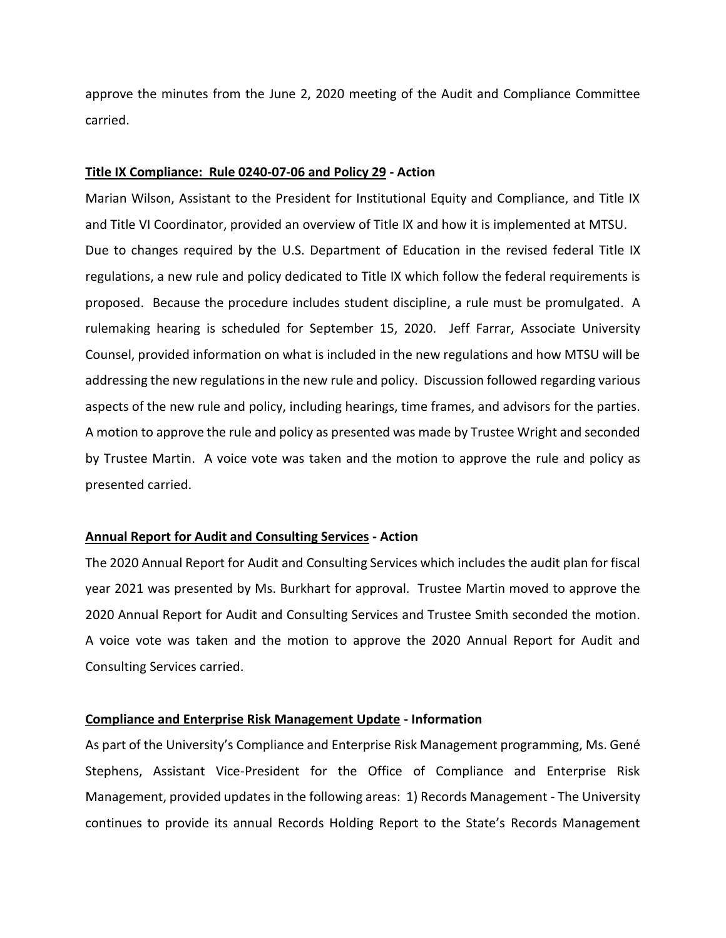approve the minutes from the June 2, 2020 meeting of the Audit and Compliance Committee carried.

#### **Title IX Compliance: Rule 0240-07-06 and Policy 29 - Action**

Marian Wilson, Assistant to the President for Institutional Equity and Compliance, and Title IX and Title VI Coordinator, provided an overview of Title IX and how it is implemented at MTSU. Due to changes required by the U.S. Department of Education in the revised federal Title IX regulations, a new rule and policy dedicated to Title IX which follow the federal requirements is proposed. Because the procedure includes student discipline, a rule must be promulgated. A rulemaking hearing is scheduled for September 15, 2020. Jeff Farrar, Associate University Counsel, provided information on what is included in the new regulations and how MTSU will be addressing the new regulations in the new rule and policy. Discussion followed regarding various aspects of the new rule and policy, including hearings, time frames, and advisors for the parties. A motion to approve the rule and policy as presented was made by Trustee Wright and seconded by Trustee Martin. A voice vote was taken and the motion to approve the rule and policy as presented carried.

## **Annual Report for Audit and Consulting Services - Action**

The 2020 Annual Report for Audit and Consulting Services which includes the audit plan for fiscal year 2021 was presented by Ms. Burkhart for approval. Trustee Martin moved to approve the 2020 Annual Report for Audit and Consulting Services and Trustee Smith seconded the motion. A voice vote was taken and the motion to approve the 2020 Annual Report for Audit and Consulting Services carried.

#### **Compliance and Enterprise Risk Management Update - Information**

As part of the University's Compliance and Enterprise Risk Management programming, Ms. Gené Stephens, Assistant Vice-President for the Office of Compliance and Enterprise Risk Management, provided updates in the following areas: 1) Records Management - The University continues to provide its annual Records Holding Report to the State's Records Management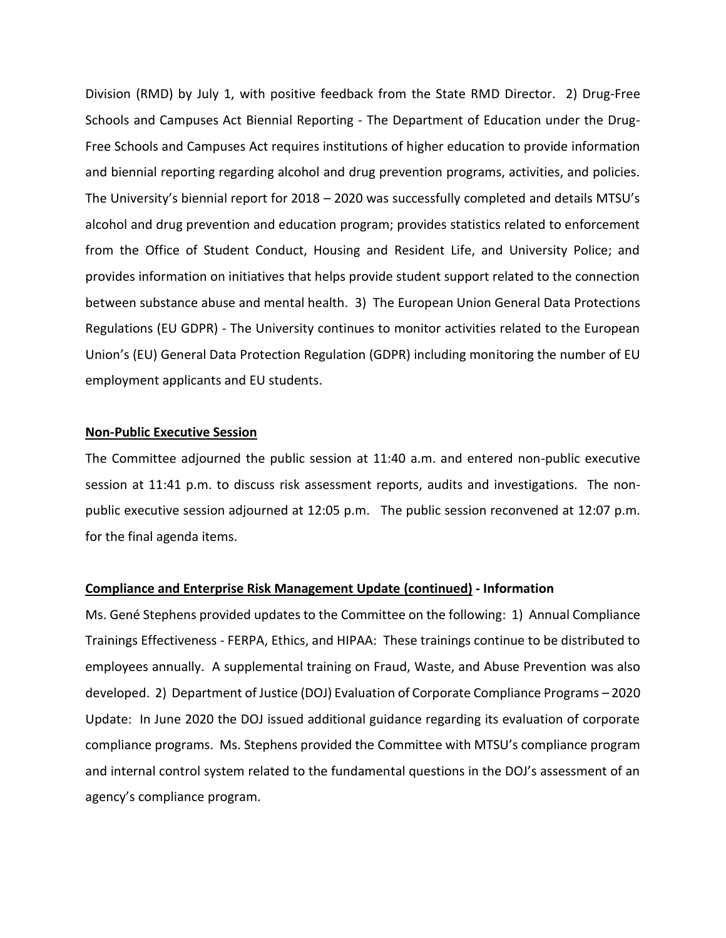Division (RMD) by July 1, with positive feedback from the State RMD Director. 2) Drug-Free Schools and Campuses Act Biennial Reporting - The Department of Education under the Drug-Free Schools and Campuses Act requires institutions of higher education to provide information and biennial reporting regarding alcohol and drug prevention programs, activities, and policies. The University's biennial report for 2018 – 2020 was successfully completed and details MTSU's alcohol and drug prevention and education program; provides statistics related to enforcement from the Office of Student Conduct, Housing and Resident Life, and University Police; and provides information on initiatives that helps provide student support related to the connection between substance abuse and mental health. 3) The European Union General Data Protections Regulations (EU GDPR) - The University continues to monitor activities related to the European Union's (EU) General Data Protection Regulation (GDPR) including monitoring the number of EU employment applicants and EU students.

#### **Non-Public Executive Session**

The Committee adjourned the public session at 11:40 a.m. and entered non-public executive session at 11:41 p.m. to discuss risk assessment reports, audits and investigations. The nonpublic executive session adjourned at 12:05 p.m. The public session reconvened at 12:07 p.m. for the final agenda items.

### **Compliance and Enterprise Risk Management Update (continued) - Information**

Ms. Gené Stephens provided updates to the Committee on the following: 1) Annual Compliance Trainings Effectiveness - FERPA, Ethics, and HIPAA: These trainings continue to be distributed to employees annually. A supplemental training on Fraud, Waste, and Abuse Prevention was also developed. 2) Department of Justice (DOJ) Evaluation of Corporate Compliance Programs – 2020 Update: In June 2020 the DOJ issued additional guidance regarding its evaluation of corporate compliance programs. Ms. Stephens provided the Committee with MTSU's compliance program and internal control system related to the fundamental questions in the DOJ's assessment of an agency's compliance program.